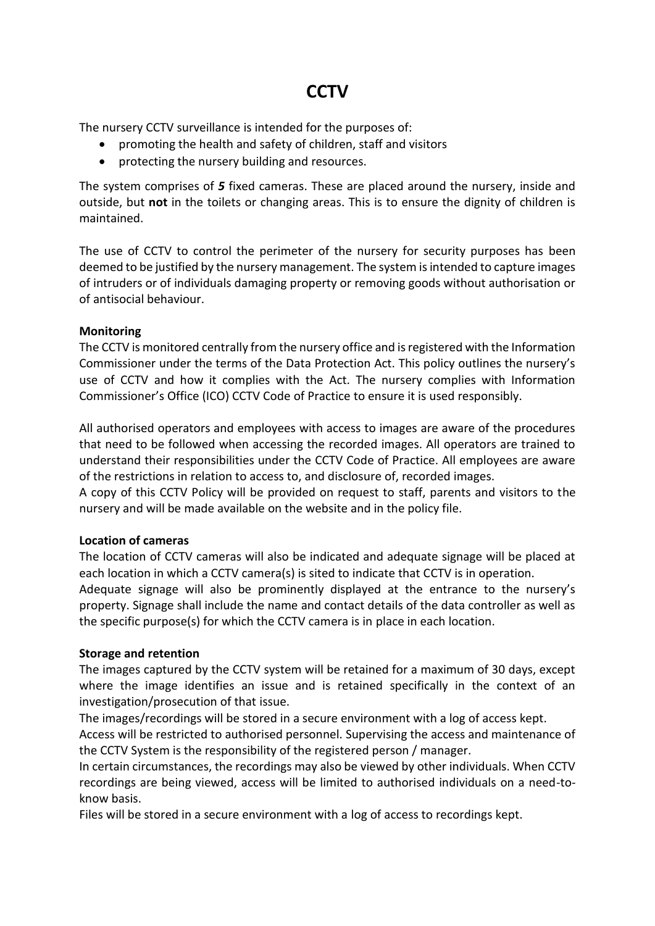# **CCTV**

The nursery CCTV surveillance is intended for the purposes of:

- promoting the health and safety of children, staff and visitors
- protecting the nursery building and resources.

The system comprises of *5* fixed cameras. These are placed around the nursery, inside and outside, but **not** in the toilets or changing areas. This is to ensure the dignity of children is maintained.

The use of CCTV to control the perimeter of the nursery for security purposes has been deemed to be justified by the nursery management. The system is intended to capture images of intruders or of individuals damaging property or removing goods without authorisation or of antisocial behaviour.

### **Monitoring**

The CCTV is monitored centrally from the nursery office and is registered with the Information Commissioner under the terms of the Data Protection Act. This policy outlines the nursery's use of CCTV and how it complies with the Act. The nursery complies with Information Commissioner's Office (ICO) CCTV Code of Practice to ensure it is used responsibly.

All authorised operators and employees with access to images are aware of the procedures that need to be followed when accessing the recorded images. All operators are trained to understand their responsibilities under the CCTV Code of Practice. All employees are aware of the restrictions in relation to access to, and disclosure of, recorded images.

A copy of this CCTV Policy will be provided on request to staff, parents and visitors to the nursery and will be made available on the website and in the policy file.

### **Location of cameras**

The location of CCTV cameras will also be indicated and adequate signage will be placed at each location in which a CCTV camera(s) is sited to indicate that CCTV is in operation.

Adequate signage will also be prominently displayed at the entrance to the nursery's property. Signage shall include the name and contact details of the data controller as well as the specific purpose(s) for which the CCTV camera is in place in each location.

### **Storage and retention**

The images captured by the CCTV system will be retained for a maximum of 30 days, except where the image identifies an issue and is retained specifically in the context of an investigation/prosecution of that issue.

The images/recordings will be stored in a secure environment with a log of access kept.

Access will be restricted to authorised personnel. Supervising the access and maintenance of the CCTV System is the responsibility of the registered person / manager.

In certain circumstances, the recordings may also be viewed by other individuals. When CCTV recordings are being viewed, access will be limited to authorised individuals on a need-toknow basis.

Files will be stored in a secure environment with a log of access to recordings kept.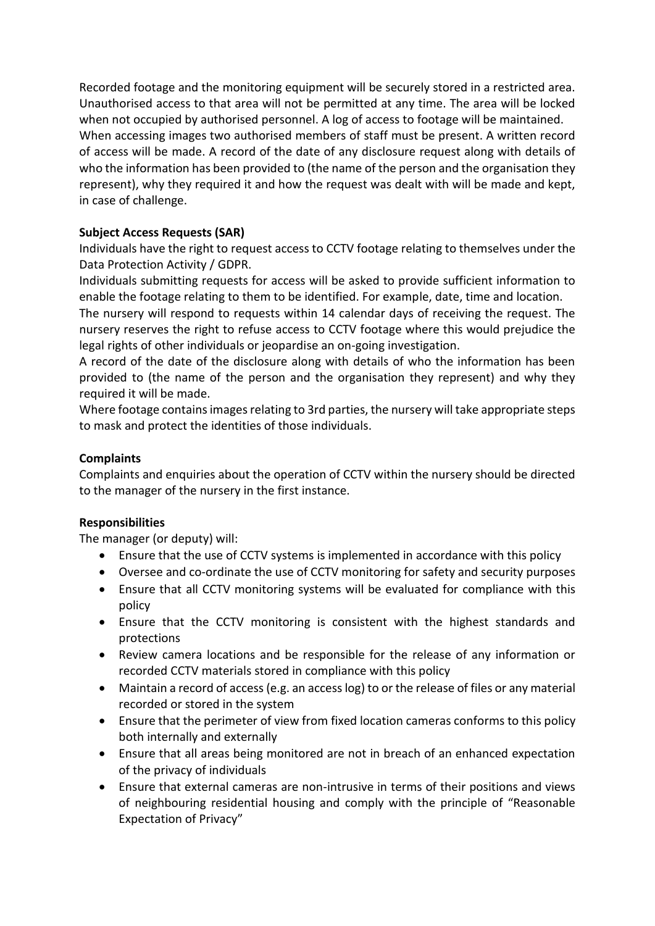Recorded footage and the monitoring equipment will be securely stored in a restricted area. Unauthorised access to that area will not be permitted at any time. The area will be locked when not occupied by authorised personnel. A log of access to footage will be maintained. When accessing images two authorised members of staff must be present. A written record of access will be made. A record of the date of any disclosure request along with details of who the information has been provided to (the name of the person and the organisation they represent), why they required it and how the request was dealt with will be made and kept, in case of challenge.

# **Subject Access Requests (SAR)**

Individuals have the right to request access to CCTV footage relating to themselves under the Data Protection Activity / GDPR.

Individuals submitting requests for access will be asked to provide sufficient information to enable the footage relating to them to be identified. For example, date, time and location.

The nursery will respond to requests within 14 calendar days of receiving the request. The nursery reserves the right to refuse access to CCTV footage where this would prejudice the legal rights of other individuals or jeopardise an on-going investigation.

A record of the date of the disclosure along with details of who the information has been provided to (the name of the person and the organisation they represent) and why they required it will be made.

Where footage contains images relating to 3rd parties, the nursery will take appropriate steps to mask and protect the identities of those individuals.

# **Complaints**

Complaints and enquiries about the operation of CCTV within the nursery should be directed to the manager of the nursery in the first instance.

### **Responsibilities**

The manager (or deputy) will:

- Ensure that the use of CCTV systems is implemented in accordance with this policy
- Oversee and co-ordinate the use of CCTV monitoring for safety and security purposes
- Ensure that all CCTV monitoring systems will be evaluated for compliance with this policy
- Ensure that the CCTV monitoring is consistent with the highest standards and protections
- Review camera locations and be responsible for the release of any information or recorded CCTV materials stored in compliance with this policy
- Maintain a record of access (e.g. an access log) to or the release of files or any material recorded or stored in the system
- Ensure that the perimeter of view from fixed location cameras conforms to this policy both internally and externally
- Ensure that all areas being monitored are not in breach of an enhanced expectation of the privacy of individuals
- Ensure that external cameras are non-intrusive in terms of their positions and views of neighbouring residential housing and comply with the principle of "Reasonable Expectation of Privacy"